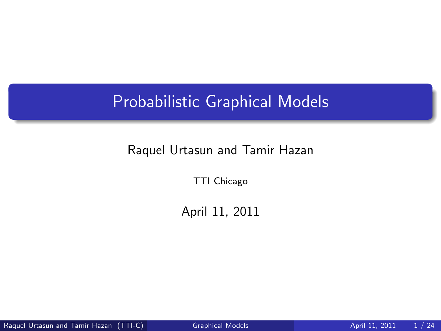## Probabilistic Graphical Models

#### Raquel Urtasun and Tamir Hazan

TTI Chicago

<span id="page-0-0"></span>April 11, 2011

Raquel Urtasun and Tamir Hazan (TTI-C) [Graphical Models](#page-23-0) **April 11, 2011** 1/24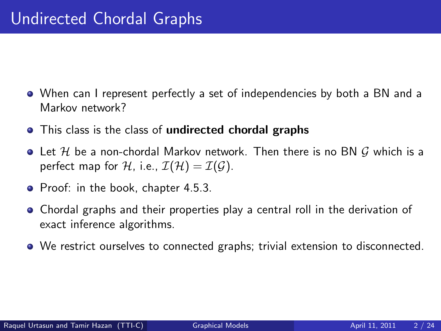- When can I represent perfectly a set of independencies by both a BN and a Markov network?
- This class is the class of undirected chordal graphs
- $\bullet$  Let H be a non-chordal Markov network. Then there is no BN G which is a perfect map for H, i.e.,  $\mathcal{I}(\mathcal{H}) = \mathcal{I}(\mathcal{G})$ .
- Proof: in the book, chapter 4.5.3.
- Chordal graphs and their properties play a central roll in the derivation of exact inference algorithms.
- We restrict ourselves to connected graphs; trivial extension to disconnected.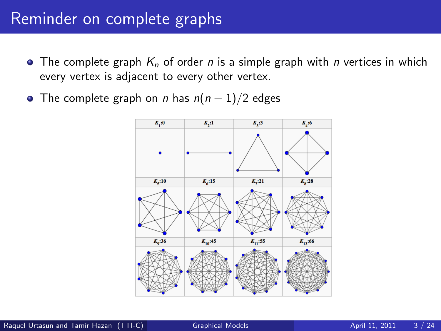#### Reminder on complete graphs

- $\bullet$  The complete graph  $K_n$  of order n is a simple graph with n vertices in which every vertex is adjacent to every other vertex.
- The complete graph on *n* has  $n(n-1)/2$  edges

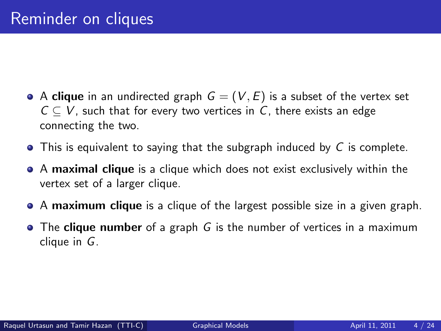- A clique in an undirected graph  $G = (V, E)$  is a subset of the vertex set  $C \subset V$ , such that for every two vertices in C, there exists an edge connecting the two.
- $\bullet$  This is equivalent to saying that the subgraph induced by C is complete.
- A maximal clique is a clique which does not exist exclusively within the vertex set of a larger clique.
- A maximum clique is a clique of the largest possible size in a given graph.
- $\bullet$  The clique number of a graph G is the number of vertices in a maximum clique in G.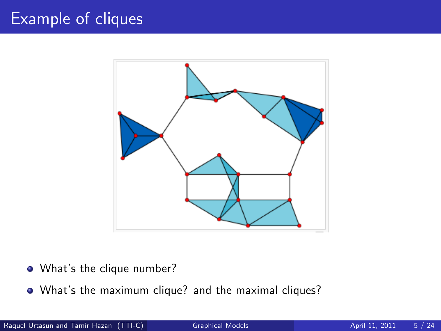## Example of cliques



- What's the clique number?
- What's the maximum clique? and the maximal cliques?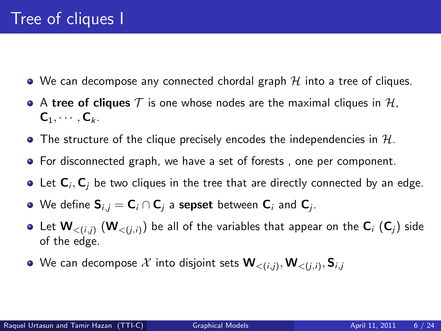- $\bullet$  We can decompose any connected chordal graph  $\mathcal H$  into a tree of cliques.
- $\bullet$  A tree of cliques T is one whose nodes are the maximal cliques in H,  $C_1, \cdots, C_k$ .
- $\bullet$  The structure of the clique precisely encodes the independencies in H.
- For disconnected graph, we have a set of forests, one per component.
- Let  ${\sf C}_i,{\sf C}_j$  be two cliques in the tree that are directly connected by an edge.
- We define  ${\sf S}_{i,j} = {\sf C}_i \cap {\sf C}_j$  a  ${\sf sepset}$  between  ${\sf C}_i$  and  ${\sf C}_j.$
- Let  $W_{<(i,j)}$   $(W_{<(j,i)})$  be all of the variables that appear on the  $C_i$   $(C_j)$  side of the edge.
- We can decompose  $\mathcal X$  into disjoint sets  $\mathbf W_{<(i,j)}, \mathbf W_{<(j,i)}, \mathbf S_{i,j}$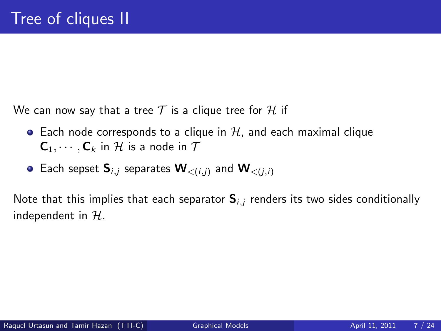We can now say that a tree  $T$  is a clique tree for H if

- Each node corresponds to a clique in  $H$ , and each maximal clique  $C_1, \cdots, C_k$  in H is a node in  $\mathcal T$
- Each sepset  $S_{i,j}$  separates  $W_{\leq (i,j)}$  and  $W_{\leq (i,j)}$

Note that this implies that each separator  $S_{i,j}$  renders its two sides conditionally independent in  $H$ .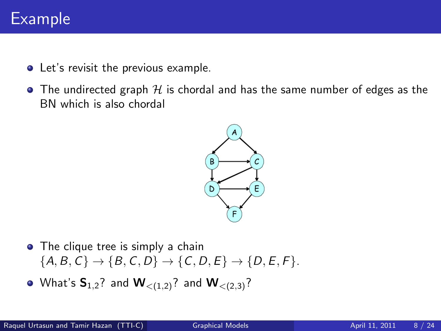## Example

- Let's revisit the previous example.
- $\bullet$  The undirected graph H is chordal and has the same number of edges as the BN which is also chordal



- The clique tree is simply a chain  ${A, B, C} \rightarrow {B, C, D} \rightarrow {C, D, E} \rightarrow {D, E, F}.$
- What's  $S_{1,2}$ ? and  $W_{\leq (1,2)}$ ? and  $W_{\leq (2,3)}$ ?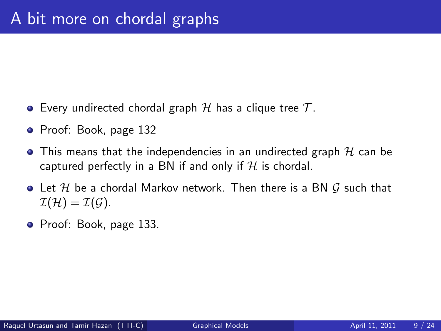- Every undirected chordal graph  $\mathcal H$  has a clique tree  $\mathcal T$ .
- Proof: Book, page 132
- $\bullet$  This means that the independencies in an undirected graph H can be captured perfectly in a BN if and only if  $H$  is chordal.
- $\bullet$  Let H be a chordal Markov network. Then there is a BN G such that  $\mathcal{I}(\mathcal{H}) = \mathcal{I}(\mathcal{G}).$
- Proof: Book, page 133.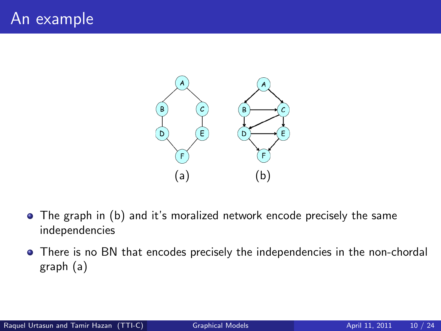

- The graph in (b) and it's moralized network encode precisely the same independencies
- There is no BN that encodes precisely the independencies in the non-chordal graph (a)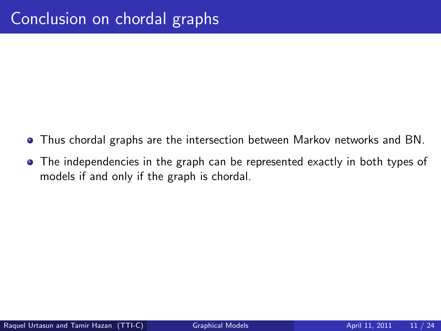- **•** Thus chordal graphs are the intersection between Markov networks and BN.
- The independencies in the graph can be represented exactly in both types of models if and only if the graph is chordal.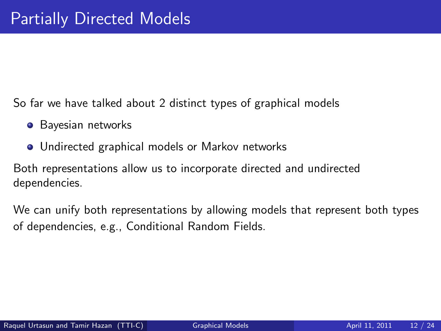So far we have talked about 2 distinct types of graphical models

- **•** Bayesian networks
- **•** Undirected graphical models or Markov networks

Both representations allow us to incorporate directed and undirected dependencies.

We can unify both representations by allowing models that represent both types of dependencies, e.g., Conditional Random Fields.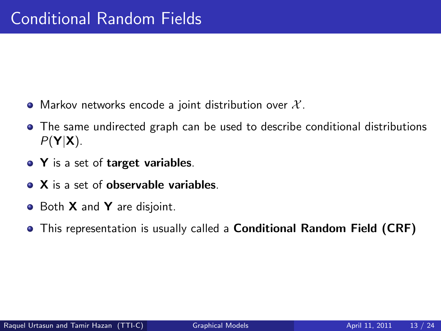- Markov networks encode a joint distribution over  $\mathcal{X}$ .
- The same undirected graph can be used to describe conditional distributions  $P(Y|X)$ .
- Y is a set of target variables.
- X is a set of observable variables.
- Both **X** and **Y** are disjoint.
- **•** This representation is usually called a **Conditional Random Field (CRF)**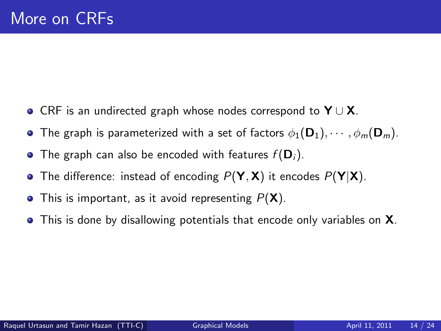- CRF is an undirected graph whose nodes correspond to  $Y \cup X$ .
- **•** The graph is parameterized with a set of factors  $\phi_1(\mathbf{D}_1), \cdots, \phi_m(\mathbf{D}_m)$ .
- The graph can also be encoded with features  $f(\mathbf{D}_i)$ .
- The difference: instead of encoding  $P(Y, X)$  it encodes  $P(Y|X)$ .
- $\bullet$  This is important, as it avoid representing  $P(X)$ .
- **•** This is done by disallowing potentials that encode only variables on **X**.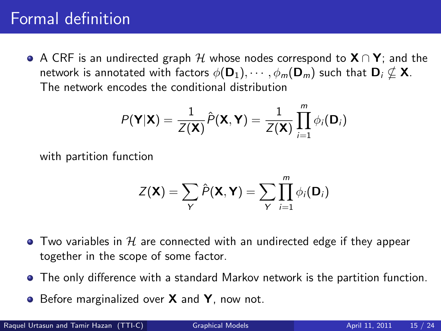## Formal definition

A CRF is an undirected graph H whose nodes correspond to  $X \cap Y$ ; and the network is annotated with factors  $\phi(\mathbf{D}_1), \cdots, \phi_m(\mathbf{D}_m)$  such that  $\mathbf{D}_i \nsubseteq \mathbf{X}$ . The network encodes the conditional distribution

$$
P(\mathbf{Y}|\mathbf{X}) = \frac{1}{Z(\mathbf{X})}\hat{P}(\mathbf{X}, \mathbf{Y}) = \frac{1}{Z(\mathbf{X})}\prod_{i=1}^{m} \phi_i(\mathbf{D}_i)
$$

with partition function

$$
Z(\mathbf{X}) = \sum_{\mathbf{Y}} \hat{P}(\mathbf{X}, \mathbf{Y}) = \sum_{\mathbf{Y}} \prod_{i=1}^{m} \phi_i(\mathbf{D}_i)
$$

- $\bullet$  Two variables in H are connected with an undirected edge if they appear together in the scope of some factor.
- The only difference with a standard Markov network is the partition function.
- Before marginalized over **X** and **Y**, now not.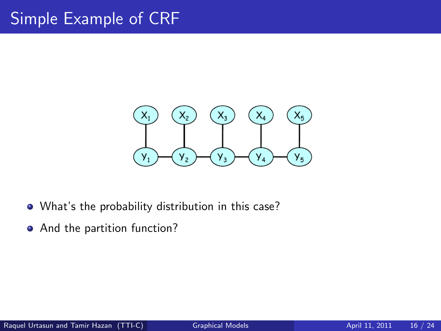## Simple Example of CRF



- What's the probability distribution in this case?
- And the partition function?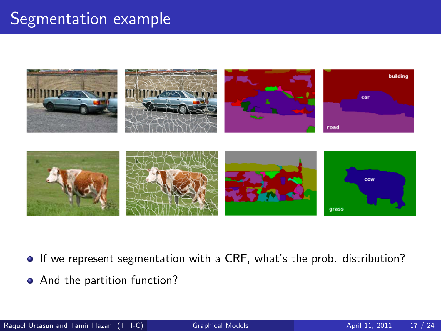#### Segmentation example





- If we represent segmentation with a CRF, what's the prob. distribution?
- And the partition function?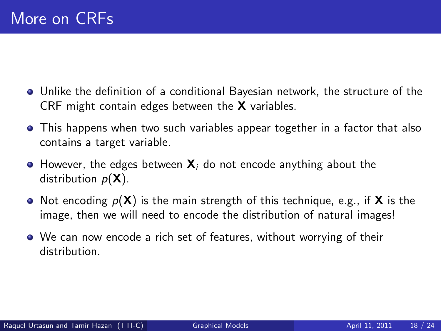- Unlike the definition of a conditional Bayesian network, the structure of the CRF might contain edges between the **X** variables.
- This happens when two such variables appear together in a factor that also contains a target variable.
- $\bullet$  However, the edges between  $X_i$  do not encode anything about the distribution  $p(\mathbf{X})$ .
- Not encoding  $p(X)$  is the main strength of this technique, e.g., if X is the image, then we will need to encode the distribution of natural images!
- We can now encode a rich set of features, without worrying of their distribution.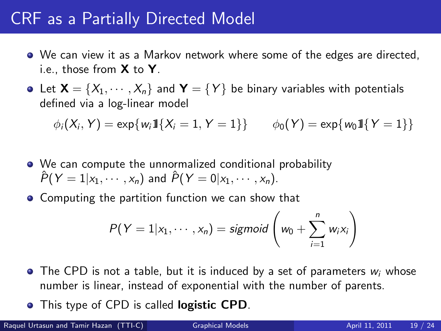#### CRF as a Partially Directed Model

- We can view it as a Markov network where some of the edges are directed, i.e., those from  $X$  to  $Y$ .
- Let  $\mathbf{X} = \{X_1, \cdots, X_n\}$  and  $\mathbf{Y} = \{Y\}$  be binary variables with potentials defined via a log-linear model

$$
\phi_i(X_i, Y) = \exp\{w_i 11\{X_i = 1, Y = 1\}\} \qquad \phi_0(Y) = \exp\{w_0 11\{Y = 1\}\}
$$

- We can compute the unnormalized conditional probability  $\hat{P}(Y=1|x_1,\dots,x_n)$  and  $\hat{P}(Y=0|x_1,\dots,x_n)$ .
- **Computing the partition function we can show that**

$$
P(Y = 1 | x_1, \cdots, x_n) = sigmoid\left(w_0 + \sum_{i=1}^n w_i x_i\right)
$$

- $\bullet$  The CPD is not a table, but it is induced by a set of parameters  $w_i$  whose number is linear, instead of exponential with the number of parents.
- This type of CPD is called **logistic CPD**.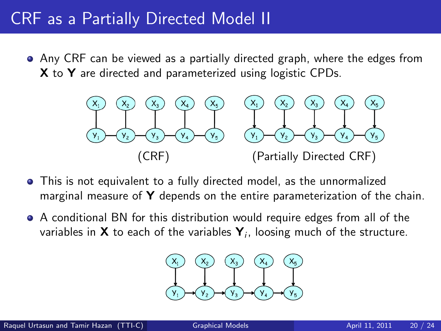#### CRF as a Partially Directed Model II

Any CRF can be viewed as a partially directed graph, where the edges from X to Y are directed and parameterized using logistic CPDs.



- This is not equivalent to a fully directed model, as the unnormalized marginal measure of  $\mathbf Y$  depends on the entire parameterization of the chain.
- A conditional BN for this distribution would require edges from all of the variables in **X** to each of the variables  $\mathbf{Y}_i$ , loosing much of the structure.

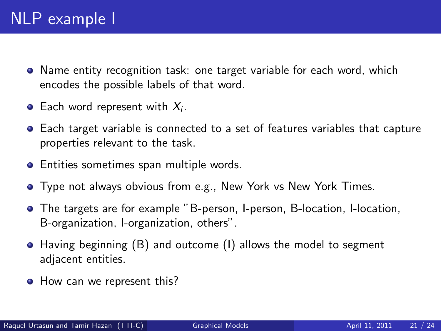- Name entity recognition task: one target variable for each word, which encodes the possible labels of that word.
- Each word represent with  $X_i$ .
- Each target variable is connected to a set of features variables that capture properties relevant to the task.
- **•** Entities sometimes span multiple words.
- **•** Type not always obvious from e.g., New York vs New York Times.
- The targets are for example "B-person, I-person, B-location, I-location, B-organization, I-organization, others".
- Having beginning (B) and outcome (I) allows the model to segment adjacent entities.
- How can we represent this?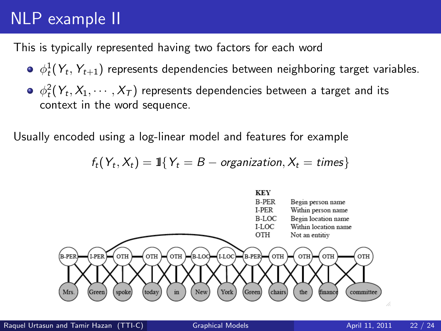# NLP example II

This is typically represented having two factors for each word

- $\phi_t^1(\mathsf{Y}_t,\mathsf{Y}_{t+1})$  represents dependencies between neighboring target variables.
- $\phi_t^2(\mathsf{Y}_t,\mathsf{X}_1,\cdots,\mathsf{X}_\mathcal{T})$  represents dependencies between a target and its context in the word sequence.

Usually encoded using a log-linear model and features for example

$$
f_t(Y_t, X_t) = 1\{Y_t = B - organization, X_t = times\}
$$

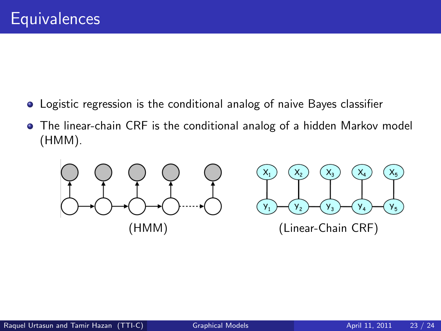- Logistic regression is the conditional analog of naive Bayes classifier
- The linear-chain CRF is the conditional analog of a hidden Markov model (HMM).